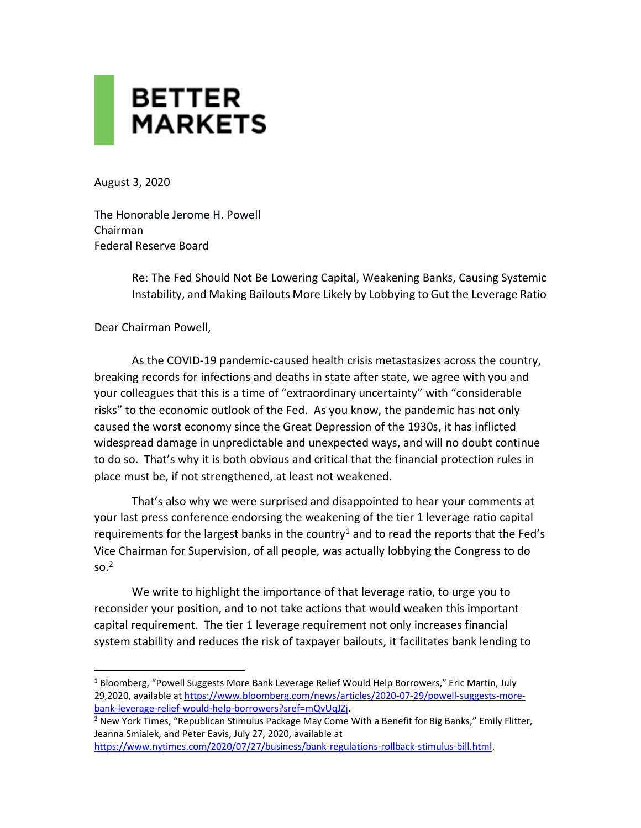

August 3, 2020

The Honorable Jerome H. Powell Chairman Federal Reserve Board

> Re: The Fed Should Not Be Lowering Capital, Weakening Banks, Causing Systemic Instability, and Making Bailouts More Likely by Lobbying to Gut the Leverage Ratio

Dear Chairman Powell,

As the COVID-19 pandemic-caused health crisis metastasizes across the country, breaking records for infections and deaths in state after state, we agree with you and your colleagues that this is a time of "extraordinary uncertainty" with "considerable risks" to the economic outlook of the Fed. As you know, the pandemic has not only caused the worst economy since the Great Depression of the 1930s, it has inflicted widespread damage in unpredictable and unexpected ways, and will no doubt continue to do so. That's why it is both obvious and critical that the financial protection rules in place must be, if not strengthened, at least not weakened.

That's also why we were surprised and disappointed to hear your comments at your last press conference endorsing the weakening of the tier 1 leverage ratio capital requirements for the largest banks in the country<sup>1</sup> and to read the reports that the Fed's Vice Chairman for Supervision, of all people, was actually lobbying the Congress to do  $SO<sup>2</sup>$ 

We write to highlight the importance of that leverage ratio, to urge you to reconsider your position, and to not take actions that would weaken this important capital requirement. The tier 1 leverage requirement not only increases financial system stability and reduces the risk of taxpayer bailouts, it facilitates bank lending to

<sup>&</sup>lt;sup>1</sup> Bloomberg, "Powell Suggests More Bank Leverage Relief Would Help Borrowers," Eric Martin, July 29,2020, available at [https://www.bloomberg.com/news/articles/2020-07-29/powell-suggests-more](https://www.bloomberg.com/news/articles/2020-07-29/powell-suggests-more-bank-leverage-relief-would-help-borrowers?sref=mQvUqJZj)[bank-leverage-relief-would-help-borrowers?sref=mQvUqJZj.](https://www.bloomberg.com/news/articles/2020-07-29/powell-suggests-more-bank-leverage-relief-would-help-borrowers?sref=mQvUqJZj)

<sup>&</sup>lt;sup>2</sup> New York Times, "Republican Stimulus Package May Come With a Benefit for Big Banks," Emily Flitter, Jeanna Smialek, and Peter Eavis, July 27, 2020, available at

[https://www.nytimes.com/2020/07/27/business/bank-regulations-rollback-stimulus-bill.html.](https://www.nytimes.com/2020/07/27/business/bank-regulations-rollback-stimulus-bill.html)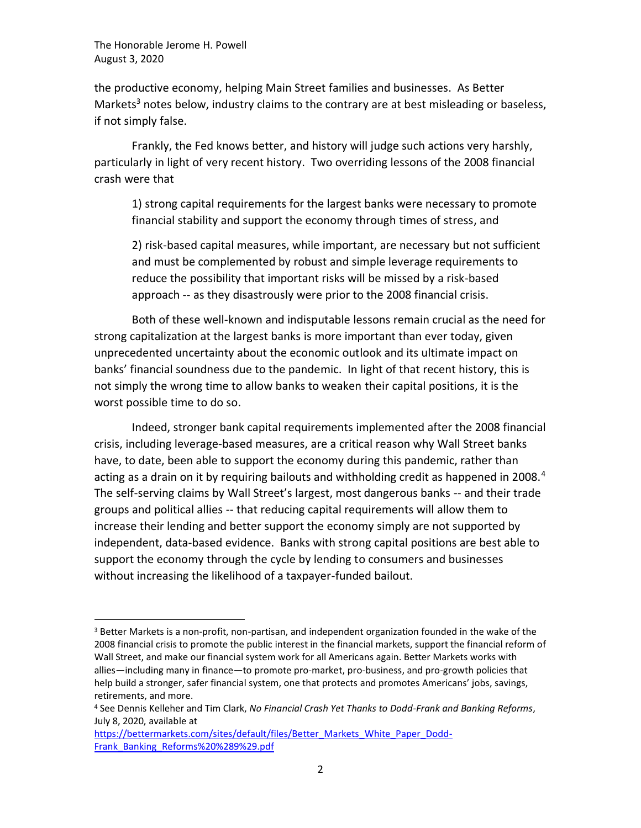the productive economy, helping Main Street families and businesses. As Better Markets<sup>3</sup> notes below, industry claims to the contrary are at best misleading or baseless, if not simply false.

Frankly, the Fed knows better, and history will judge such actions very harshly, particularly in light of very recent history. Two overriding lessons of the 2008 financial crash were that

1) strong capital requirements for the largest banks were necessary to promote financial stability and support the economy through times of stress, and

2) risk-based capital measures, while important, are necessary but not sufficient and must be complemented by robust and simple leverage requirements to reduce the possibility that important risks will be missed by a risk-based approach -- as they disastrously were prior to the 2008 financial crisis.

Both of these well-known and indisputable lessons remain crucial as the need for strong capitalization at the largest banks is more important than ever today, given unprecedented uncertainty about the economic outlook and its ultimate impact on banks' financial soundness due to the pandemic. In light of that recent history, this is not simply the wrong time to allow banks to weaken their capital positions, it is the worst possible time to do so.

Indeed, stronger bank capital requirements implemented after the 2008 financial crisis, including leverage-based measures, are a critical reason why Wall Street banks have, to date, been able to support the economy during this pandemic, rather than acting as a drain on it by requiring bailouts and withholding credit as happened in 2008.<sup>4</sup> The self-serving claims by Wall Street's largest, most dangerous banks -- and their trade groups and political allies -- that reducing capital requirements will allow them to increase their lending and better support the economy simply are not supported by independent, data-based evidence. Banks with strong capital positions are best able to support the economy through the cycle by lending to consumers and businesses without increasing the likelihood of a taxpayer-funded bailout.

 $3$  Better Markets is a non-profit, non-partisan, and independent organization founded in the wake of the 2008 financial crisis to promote the public interest in the financial markets, support the financial reform of Wall Street, and make our financial system work for all Americans again. Better Markets works with allies—including many in finance—to promote pro-market, pro-business, and pro-growth policies that help build a stronger, safer financial system, one that protects and promotes Americans' jobs, savings, retirements, and more.

<sup>4</sup> See Dennis Kelleher and Tim Clark, *No Financial Crash Yet Thanks to Dodd-Frank and Banking Reforms*, July 8, 2020, available at

[https://bettermarkets.com/sites/default/files/Better\\_Markets\\_White\\_Paper\\_Dodd-](https://bettermarkets.com/sites/default/files/Better_Markets_White_Paper_Dodd-Frank_Banking_Reforms%20%289%29.pdf)[Frank\\_Banking\\_Reforms%20%289%29.pdf](https://bettermarkets.com/sites/default/files/Better_Markets_White_Paper_Dodd-Frank_Banking_Reforms%20%289%29.pdf)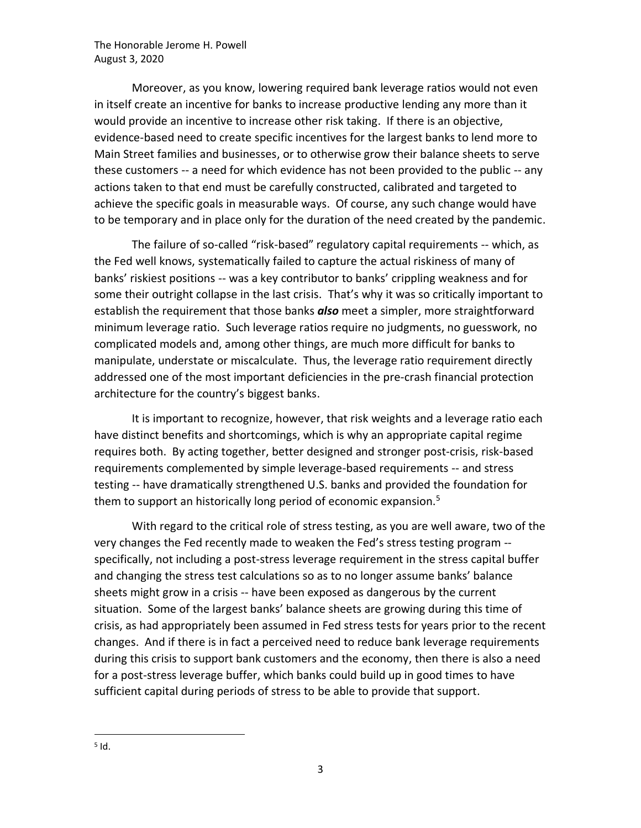Moreover, as you know, lowering required bank leverage ratios would not even in itself create an incentive for banks to increase productive lending any more than it would provide an incentive to increase other risk taking. If there is an objective, evidence-based need to create specific incentives for the largest banks to lend more to Main Street families and businesses, or to otherwise grow their balance sheets to serve these customers -- a need for which evidence has not been provided to the public -- any actions taken to that end must be carefully constructed, calibrated and targeted to achieve the specific goals in measurable ways. Of course, any such change would have to be temporary and in place only for the duration of the need created by the pandemic.

The failure of so-called "risk-based" regulatory capital requirements -- which, as the Fed well knows, systematically failed to capture the actual riskiness of many of banks' riskiest positions -- was a key contributor to banks' crippling weakness and for some their outright collapse in the last crisis. That's why it was so critically important to establish the requirement that those banks *also* meet a simpler, more straightforward minimum leverage ratio. Such leverage ratios require no judgments, no guesswork, no complicated models and, among other things, are much more difficult for banks to manipulate, understate or miscalculate. Thus, the leverage ratio requirement directly addressed one of the most important deficiencies in the pre-crash financial protection architecture for the country's biggest banks.

It is important to recognize, however, that risk weights and a leverage ratio each have distinct benefits and shortcomings, which is why an appropriate capital regime requires both. By acting together, better designed and stronger post-crisis, risk-based requirements complemented by simple leverage-based requirements -- and stress testing -- have dramatically strengthened U.S. banks and provided the foundation for them to support an historically long period of economic expansion.<sup>5</sup>

With regard to the critical role of stress testing, as you are well aware, two of the very changes the Fed recently made to weaken the Fed's stress testing program - specifically, not including a post-stress leverage requirement in the stress capital buffer and changing the stress test calculations so as to no longer assume banks' balance sheets might grow in a crisis -- have been exposed as dangerous by the current situation. Some of the largest banks' balance sheets are growing during this time of crisis, as had appropriately been assumed in Fed stress tests for years prior to the recent changes. And if there is in fact a perceived need to reduce bank leverage requirements during this crisis to support bank customers and the economy, then there is also a need for a post-stress leverage buffer, which banks could build up in good times to have sufficient capital during periods of stress to be able to provide that support.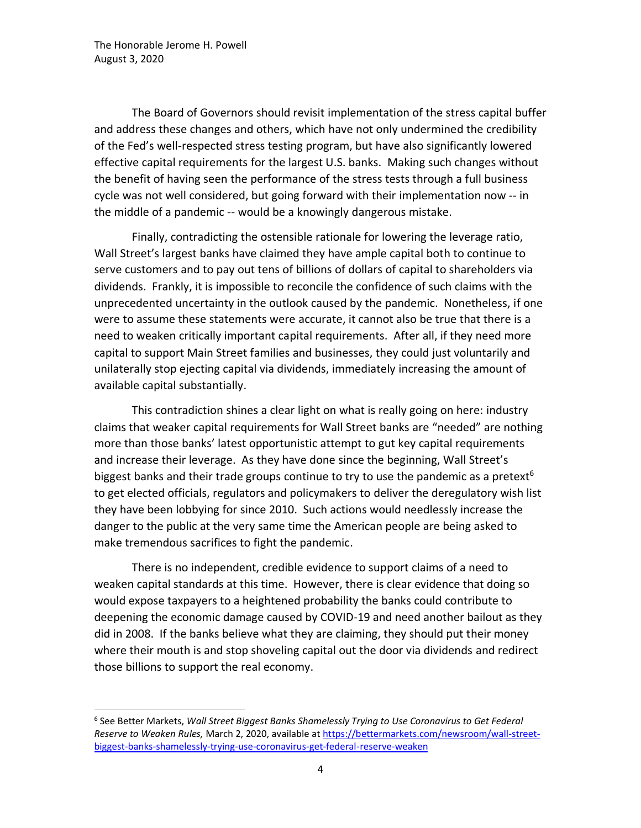The Board of Governors should revisit implementation of the stress capital buffer and address these changes and others, which have not only undermined the credibility of the Fed's well-respected stress testing program, but have also significantly lowered effective capital requirements for the largest U.S. banks. Making such changes without the benefit of having seen the performance of the stress tests through a full business cycle was not well considered, but going forward with their implementation now -- in the middle of a pandemic -- would be a knowingly dangerous mistake.

Finally, contradicting the ostensible rationale for lowering the leverage ratio, Wall Street's largest banks have claimed they have ample capital both to continue to serve customers and to pay out tens of billions of dollars of capital to shareholders via dividends. Frankly, it is impossible to reconcile the confidence of such claims with the unprecedented uncertainty in the outlook caused by the pandemic. Nonetheless, if one were to assume these statements were accurate, it cannot also be true that there is a need to weaken critically important capital requirements. After all, if they need more capital to support Main Street families and businesses, they could just voluntarily and unilaterally stop ejecting capital via dividends, immediately increasing the amount of available capital substantially.

This contradiction shines a clear light on what is really going on here: industry claims that weaker capital requirements for Wall Street banks are "needed" are nothing more than those banks' latest opportunistic attempt to gut key capital requirements and increase their leverage. As they have done since the beginning, Wall Street's biggest banks and their trade groups continue to try to use the pandemic as a pretext<sup>6</sup> to get elected officials, regulators and policymakers to deliver the deregulatory wish list they have been lobbying for since 2010. Such actions would needlessly increase the danger to the public at the very same time the American people are being asked to make tremendous sacrifices to fight the pandemic.

There is no independent, credible evidence to support claims of a need to weaken capital standards at this time. However, there is clear evidence that doing so would expose taxpayers to a heightened probability the banks could contribute to deepening the economic damage caused by COVID-19 and need another bailout as they did in 2008. If the banks believe what they are claiming, they should put their money where their mouth is and stop shoveling capital out the door via dividends and redirect those billions to support the real economy.

<sup>6</sup> See Better Markets, *Wall Street Biggest Banks Shamelessly Trying to Use Coronavirus to Get Federal Reserve to Weaken Rules,* March 2, 2020, available a[t https://bettermarkets.com/newsroom/wall-street](https://bettermarkets.com/newsroom/wall-street-biggest-banks-shamelessly-trying-use-coronavirus-get-federal-reserve-weaken)[biggest-banks-shamelessly-trying-use-coronavirus-get-federal-reserve-weaken](https://bettermarkets.com/newsroom/wall-street-biggest-banks-shamelessly-trying-use-coronavirus-get-federal-reserve-weaken)